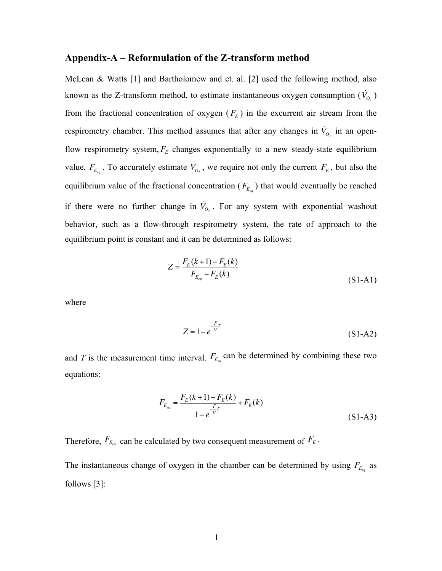#### **Appendix-A – Reformulation of the Z-transform method**

McLean & Watts [1] and Bartholomew and et. al. [2] used the following method, also known as the Z-transform method, to estimate instantaneous oxygen consumption  $(\dot{V}_{O_2})$ from the fractional concentration of oxygen  $(F_E)$  in the excurrent air stream from the respirometry chamber. This method assumes that after any changes in  $\dot{V}_{O_2}$  in an openflow respirometry system,  $F_E$  changes exponentially to a new steady-state equilibrium value,  $F_{E_{eq}}$ . To accurately estimate  $\dot{V}_{O_2}$ , we require not only the current  $F_E$ , but also the equilibrium value of the fractional concentration  $(F_{E_{eq}})$  that would eventually be reached if there were no further change in  $\dot{V}_{O_2}$ . For any system with exponential washout behavior, such as a flow-through respirometry system, the rate of approach to the equilibrium point is constant and it can be determined as follows:

$$
Z = \frac{F_E(k+1) - F_E(k)}{F_{E_{eq}} - F_E(k)}
$$
\n(S1-A1)

where

$$
Z = 1 - e^{-\frac{F}{V}T}
$$
 (S1-A2)

and *T* is the measurement time interval.  $F_{E_{eq}}$  can be determined by combining these two equations:

$$
F_{E_{eq}} = \frac{F_E(k+1) - F_E(k)}{1 - e^{-\frac{F}{V}} + F_E(k)}
$$
\n(S1-A3)

Therefore,  $F_{E_{eq}}$  can be calculated by two consequent measurement of  $F_E$ . The instantaneous change of oxygen in the chamber can be determined by using  $F_{E_{eq}}$  as follows [3]: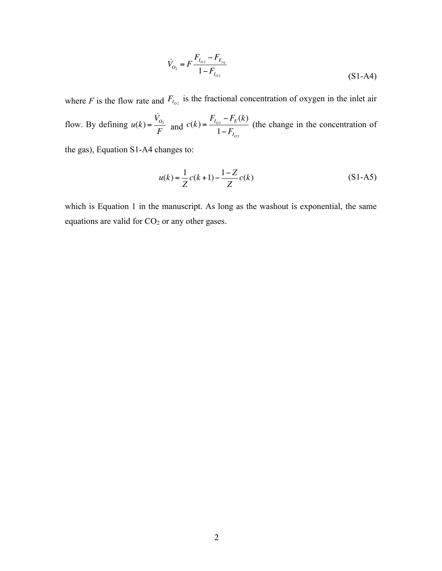$$
\dot{V}_{O_2} = F \frac{F_{I_{O2}} - F_{E_{eq}}}{1 - F_{I_{O2}}}
$$
\n(S1-A4)

where *F* is the flow rate and  $F_{I_{O2}}$  is the fractional concentration of oxygen in the inlet air flow. By defining  $u(k) = \frac{\dot{V}_{O_2}}{F}$  and  $c(k) = \frac{F_{I_{O_2}} - F_E(k)}{1 - F_{I_{O_2}}}$ (the change in the concentration of

the gas), Equation S1-A4 changes to:

$$
u(k) = \frac{1}{Z}c(k+1) - \frac{1-Z}{Z}c(k)
$$
 (S1-A5)

which is Equation 1 in the manuscript. As long as the washout is exponential, the same equations are valid for  $CO<sub>2</sub>$  or any other gases.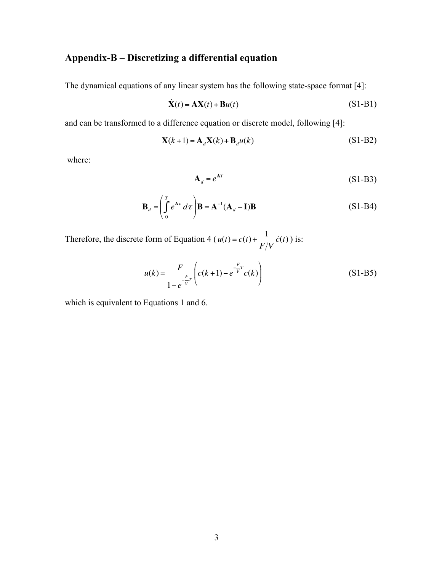# **Appendix-B – Discretizing a differential equation**

The dynamical equations of any linear system has the following state-space format [4]:

$$
\dot{\mathbf{X}}(t) = \mathbf{A}\mathbf{X}(t) + \mathbf{B}u(t) \tag{S1-B1}
$$

and can be transformed to a difference equation or discrete model, following [4]:

$$
\mathbf{X}(k+1) = \mathbf{A}_d \mathbf{X}(k) + \mathbf{B}_d u(k)
$$
 (S1-B2)

where:

$$
\mathbf{A}_d = e^{\mathbf{A}T} \tag{S1-B3}
$$

$$
\mathbf{B}_d = \left(\int_0^T e^{\mathbf{A}\tau} d\tau\right) \mathbf{B} = \mathbf{A}^{-1} (\mathbf{A}_d - \mathbf{I}) \mathbf{B}
$$
 (S1-B4)

Therefore, the discrete form of Equation 4 ( $u(t) = c(t) + \frac{1}{E(t)} \dot{c}(t)$ ) is:  $F/V$ *c*(*t*)

$$
u(k) = \frac{F}{1 - e^{-\frac{F}{V}T}} \left( c(k+1) - e^{-\frac{F}{V}T} c(k) \right)
$$
 (S1-B5)

which is equivalent to Equations 1 and 6.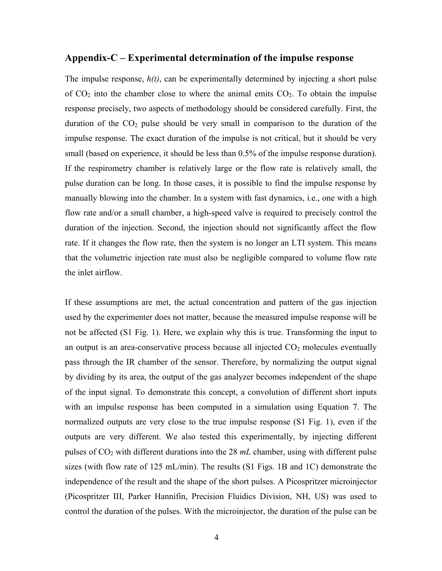### **Appendix-C – Experimental determination of the impulse response**

The impulse response, *h(t)*, can be experimentally determined by injecting a short pulse of  $CO<sub>2</sub>$  into the chamber close to where the animal emits  $CO<sub>2</sub>$ . To obtain the impulse response precisely, two aspects of methodology should be considered carefully. First, the duration of the  $CO<sub>2</sub>$  pulse should be very small in comparison to the duration of the impulse response. The exact duration of the impulse is not critical, but it should be very small (based on experience, it should be less than 0.5% of the impulse response duration). If the respirometry chamber is relatively large or the flow rate is relatively small, the pulse duration can be long. In those cases, it is possible to find the impulse response by manually blowing into the chamber. In a system with fast dynamics, i.e., one with a high flow rate and/or a small chamber, a high-speed valve is required to precisely control the duration of the injection. Second, the injection should not significantly affect the flow rate. If it changes the flow rate, then the system is no longer an LTI system. This means that the volumetric injection rate must also be negligible compared to volume flow rate the inlet airflow.

If these assumptions are met, the actual concentration and pattern of the gas injection used by the experimenter does not matter, because the measured impulse response will be not be affected (S1 Fig. 1). Here, we explain why this is true. Transforming the input to an output is an area-conservative process because all injected  $CO<sub>2</sub>$  molecules eventually pass through the IR chamber of the sensor. Therefore, by normalizing the output signal by dividing by its area, the output of the gas analyzer becomes independent of the shape of the input signal. To demonstrate this concept, a convolution of different short inputs with an impulse response has been computed in a simulation using Equation 7. The normalized outputs are very close to the true impulse response (S1 Fig. 1), even if the outputs are very different. We also tested this experimentally, by injecting different pulses of CO2 with different durations into the 28 *mL* chamber, using with different pulse sizes (with flow rate of 125 mL/min). The results (S1 Figs. 1B and 1C) demonstrate the independence of the result and the shape of the short pulses. A Picospritzer microinjector (Picospritzer III, Parker Hannifin, Precision Fluidics Division, NH, US) was used to control the duration of the pulses. With the microinjector, the duration of the pulse can be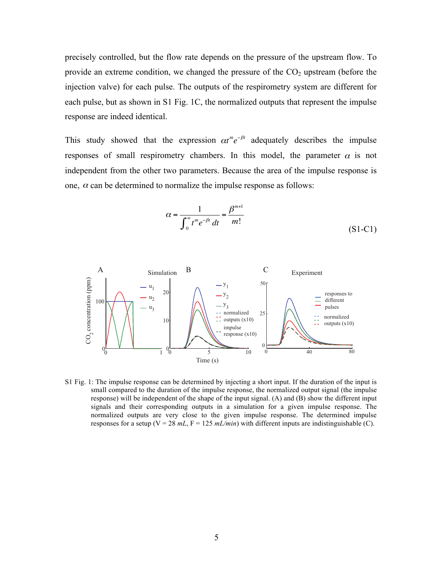precisely controlled, but the flow rate depends on the pressure of the upstream flow. To provide an extreme condition, we changed the pressure of the  $CO<sub>2</sub>$  upstream (before the injection valve) for each pulse. The outputs of the respirometry system are different for each pulse, but as shown in S1 Fig. 1C, the normalized outputs that represent the impulse response are indeed identical.

This study showed that the expression  $\alpha t^m e^{-\beta t}$  adequately describes the impulse responses of small respirometry chambers. In this model, the parameter  $\alpha$  is not independent from the other two parameters. Because the area of the impulse response is one,  $\alpha$  can be determined to normalize the impulse response as follows:

$$
\alpha = \frac{1}{\int_0^\infty t^m e^{-\beta t} dt} = \frac{\beta^{m+1}}{m!}
$$
 (S1-C1)



S1 Fig. 1: The impulse response can be determined by injecting a short input. If the duration of the input is small compared to the duration of the impulse response, the normalized output signal (the impulse response) will be independent of the shape of the input signal. (A) and (B) show the different input signals and their corresponding outputs in a simulation for a given impulse response. The normalized outputs are very close to the given impulse response. The determined impulse responses for a setup ( $V = 28$   $mL$ ,  $F = 125$   $mL/min$ ) with different inputs are indistinguishable (C).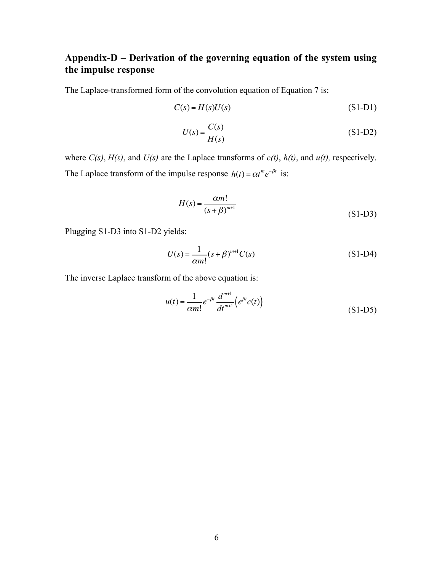## **Appendix-D – Derivation of the governing equation of the system using the impulse response**

The Laplace-transformed form of the convolution equation of Equation 7 is:

$$
C(s) = H(s)U(s) \tag{S1-D1}
$$

$$
U(s) = \frac{C(s)}{H(s)}\tag{S1-D2}
$$

where *C(s)*, *H(s)*, and *U(s)* are the Laplace transforms of *c(t)*, *h(t)*, and *u(t),* respectively. The Laplace transform of the impulse response  $h(t) = \alpha t^m e^{-\beta t}$  is:

$$
H(s) = \frac{\alpha m!}{(s + \beta)^{m+1}}
$$
 (S1-D3)

Plugging S1-D3 into S1-D2 yields:

$$
U(s) = \frac{1}{\alpha m!} (s + \beta)^{m+1} C(s)
$$
 (S1-D4)

The inverse Laplace transform of the above equation is:

$$
u(t) = \frac{1}{\alpha m!} e^{-\beta t} \frac{d^{m+1}}{dt^{m+1}} \Big( e^{\beta t} c(t) \Big)
$$
 (S1-D5)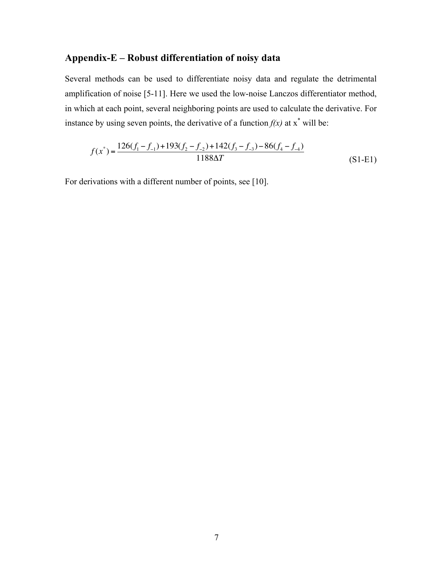## **Appendix-E – Robust differentiation of noisy data**

Several methods can be used to differentiate noisy data and regulate the detrimental amplification of noise [5-11]. Here we used the low-noise Lanczos differentiator method, in which at each point, several neighboring points are used to calculate the derivative. For instance by using seven points, the derivative of a function  $f(x)$  at  $x^*$  will be:

$$
f(x^*) = \frac{126(f_1 - f_{-1}) + 193(f_2 - f_{-2}) + 142(f_3 - f_{-3}) - 86(f_4 - f_{-4})}{1188\Delta T}
$$
(S1-E1)

For derivations with a different number of points, see [10].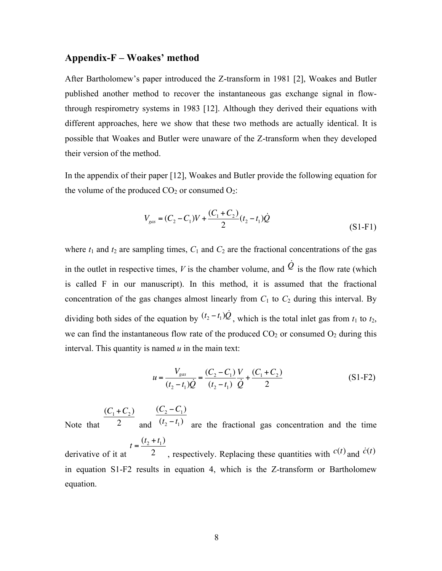### **Appendix-F – Woakes' method**

After Bartholomew's paper introduced the Z-transform in 1981 [2], Woakes and Butler published another method to recover the instantaneous gas exchange signal in flowthrough respirometry systems in 1983 [12]. Although they derived their equations with different approaches, here we show that these two methods are actually identical. It is possible that Woakes and Butler were unaware of the Z-transform when they developed their version of the method.

In the appendix of their paper [12], Woakes and Butler provide the following equation for the volume of the produced  $CO<sub>2</sub>$  or consumed  $O<sub>2</sub>$ :

$$
V_{gas} = (C_2 - C_1)V + \frac{(C_1 + C_2)}{2}(t_2 - t_1)\dot{Q}
$$
\n(S1-F1)

where  $t_1$  and  $t_2$  are sampling times,  $C_1$  and  $C_2$  are the fractional concentrations of the gas in the outlet in respective times, *V* is the chamber volume, and  $\dot{Q}$  is the flow rate (which is called F in our manuscript). In this method, it is assumed that the fractional concentration of the gas changes almost linearly from  $C_1$  to  $C_2$  during this interval. By dividing both sides of the equation by  $(t_2 - t_1)\dot{Q}$ , which is the total inlet gas from  $t_1$  to  $t_2$ , we can find the instantaneous flow rate of the produced  $CO<sub>2</sub>$  or consumed  $O<sub>2</sub>$  during this interval. This quantity is named *u* in the main text:

$$
u = \frac{V_{gas}}{(t_2 - t_1)\dot{Q}} = \frac{(C_2 - C_1)}{(t_2 - t_1)}\frac{V}{\dot{Q}} + \frac{(C_1 + C_2)}{2}
$$
(S1-F2)

Note that  $(C_1 + C_2)$ 2 and  $(C_2 - C_1)$  $(t_2 - t_1)$  are the fractional gas concentration and the time derivative of it at  $t = \frac{(t_2 + t_1)}{2}$  $\overline{a}$ , respectively. Replacing these quantities with  $c(t)$  and  $\dot{c}(t)$ 

in equation S1-F2 results in equation 4, which is the Z-transform or Bartholomew equation.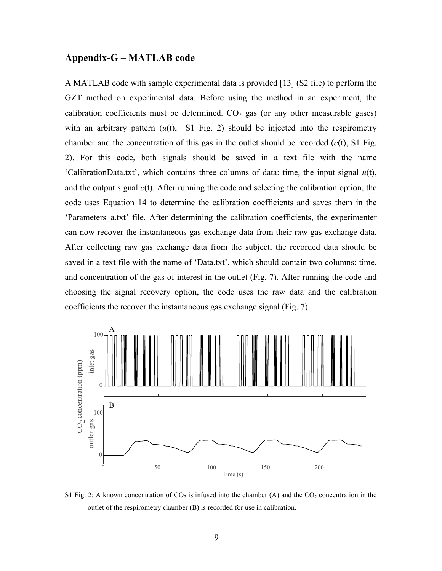### **Appendix-G – MATLAB code**

A MATLAB code with sample experimental data is provided [13] (S2 file) to perform the GZT method on experimental data. Before using the method in an experiment, the calibration coefficients must be determined.  $CO<sub>2</sub>$  gas (or any other measurable gases) with an arbitrary pattern  $(u(t), S1$  Fig. 2) should be injected into the respirometry chamber and the concentration of this gas in the outlet should be recorded (*c*(t), S1 Fig. 2). For this code, both signals should be saved in a text file with the name 'CalibrationData.txt', which contains three columns of data: time, the input signal *u*(t), and the output signal *c*(t). After running the code and selecting the calibration option, the code uses Equation 14 to determine the calibration coefficients and saves them in the 'Parameters a.txt' file. After determining the calibration coefficients, the experimenter can now recover the instantaneous gas exchange data from their raw gas exchange data. After collecting raw gas exchange data from the subject, the recorded data should be saved in a text file with the name of 'Data.txt', which should contain two columns: time, and concentration of the gas of interest in the outlet (Fig. 7). After running the code and choosing the signal recovery option, the code uses the raw data and the calibration coefficients the recover the instantaneous gas exchange signal (Fig. 7).



S1 Fig. 2: A known concentration of  $CO_2$  is infused into the chamber (A) and the  $CO_2$  concentration in the outlet of the respirometry chamber (B) is recorded for use in calibration.